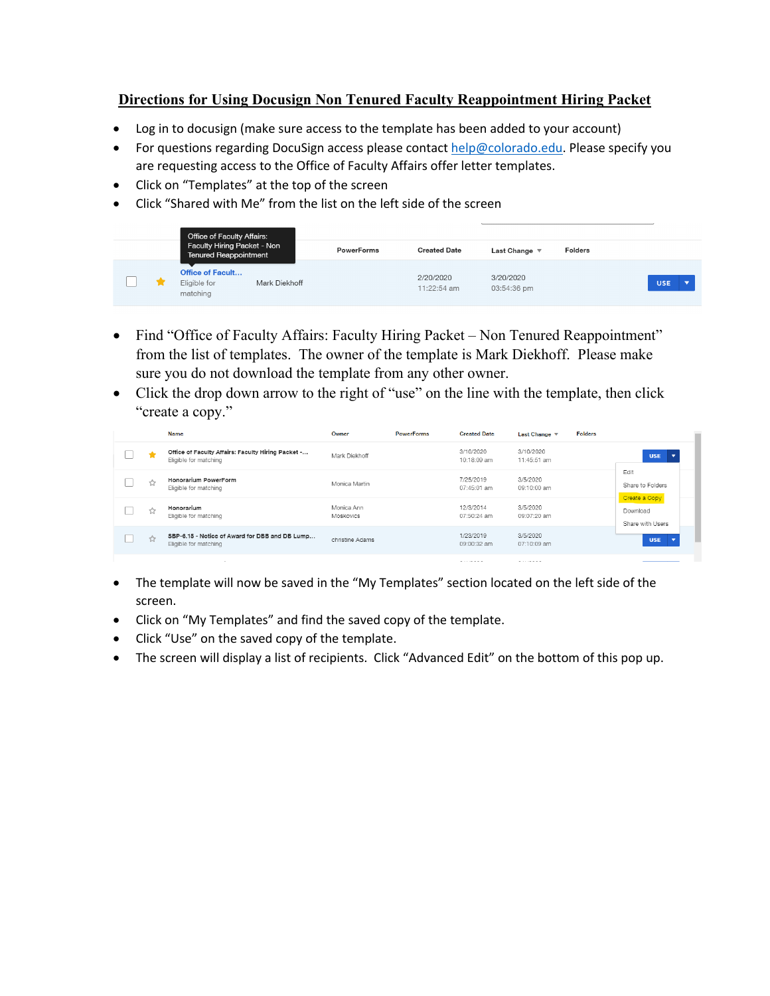## **Directions for Using Docusign Non Tenured Faculty Reappointment Hiring Packet**

- Log in to docusign (make sure access to the template has been added to your account)
- For questions regarding DocuSign access please contact help@colorado.edu. Please specify you are requesting access to the Office of Faculty Affairs offer letter templates.
- Click on "Templates" at the top of the screen
- Click "Shared with Me" from the list on the left side of the screen

|  | Office of Faculty Affairs:<br>Faculty Hiring Packet - Non<br><b>Tenured Reappointment</b> |               | <b>PowerForms</b> | <b>Created Date</b>        | Last Change              | <b>Folders</b> |            |
|--|-------------------------------------------------------------------------------------------|---------------|-------------------|----------------------------|--------------------------|----------------|------------|
|  | <b>Office of Facult</b><br>Eligible for<br>matching                                       | Mark Diekhoff |                   | 2/20/2020<br>$11:22:54$ am | 3/20/2020<br>03:54:36 pm |                | <b>USE</b> |

- Find "Office of Faculty Affairs: Faculty Hiring Packet Non Tenured Reappointment" from the list of templates. The owner of the template is Mark Diekhoff. Please make sure you do not download the template from any other owner.
- Click the drop down arrow to the right of "use" on the line with the template, then click "create a copy."

|   | Name                                                                        | Owner                   | <b>PowerForms</b> | <b>Created Date</b>      | <b>Folders</b><br>Last Change $\sqrt{ }$ |                                               |
|---|-----------------------------------------------------------------------------|-------------------------|-------------------|--------------------------|------------------------------------------|-----------------------------------------------|
|   | Office of Faculty Affairs: Faculty Hiring Packet -<br>Eligible for matching | Mark Diekhoff           |                   | 3/10/2020<br>10:18:09 am | 3/10/2020<br>11:45:51 am                 | <b>USE</b>                                    |
| ☆ | Honorarium PowerForm<br>Eligible for matching                               | Monica Martin           |                   | 7/25/2019<br>07:45:01 am | 3/5/2020<br>09:10:00 am                  | Edit<br>Share to Folders                      |
|   | Honorarium<br>Eligible for matching                                         | Monica Ann<br>Moskovics |                   | 12/3/2014<br>07:50:24 am | 3/5/2020<br>09:07:20 am                  | Create a Copy<br>Download<br>Share with Users |
|   | SBP-6.15 - Notice of Award for DBB and DB Lump<br>Eligible for matching     | christine Adams         |                   | 1/23/2019<br>09:00:32 am | 3/5/2020<br>07:10:09 am                  | <b>USE</b>                                    |
|   | $\overline{\phantom{a}}$                                                    |                         |                   | --------                 | -------                                  |                                               |

- The template will now be saved in the "My Templates" section located on the left side of the screen.
- Click on "My Templates" and find the saved copy of the template.
- Click "Use" on the saved copy of the template.
- The screen will display a list of recipients. Click "Advanced Edit" on the bottom of this pop up.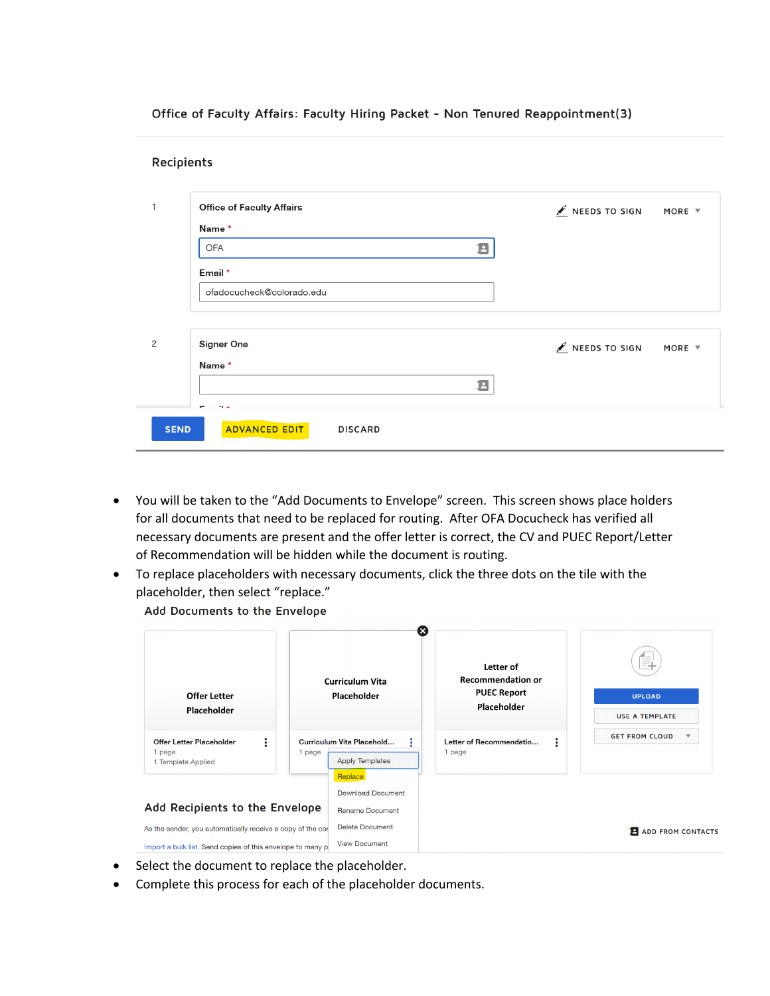Office of Faculty Affairs: Faculty Hiring Packet - Non Tenured Reappointment(3)

| <b>Office of Faculty Affairs</b> | $\triangle$ NEEDS TO SIGN | MORE $\overline{v}$ |
|----------------------------------|---------------------------|---------------------|
| Name *                           |                           |                     |
| 8<br>OFA                         |                           |                     |
| Email *                          |                           |                     |
| ofadocucheck@colorado.edu        |                           |                     |
|                                  |                           |                     |
|                                  | $\triangle$ NEEDS TO SIGN | MORE $\overline{v}$ |
| Name*                            |                           |                     |
| B                                |                           |                     |
|                                  | <b>Signer One</b>         |                     |

- You will be taken to the "Add Documents to Envelope" screen. This screen shows place holders for all documents that need to be replaced for routing. After OFA Docucheck has verified all necessary documents are present and the offer letter is correct, the CV and PUEC Report/Letter of Recommendation will be hidden while the document is routing.
- To replace placeholders with necessary documents, click the three dots on the tile with the placeholder, then select "replace."

Add Documents to the Envelope

| Offer Letter<br>Placeholder                                                                                              |        | ×<br><b>Curriculum Vita</b><br><b>Placeholder</b>       | Letter of<br><b>Recommendation or</b><br><b>PUEC Report</b><br>Placeholder | E.<br><b>UPLOAD</b><br><b>USE A TEMPLATE</b> |
|--------------------------------------------------------------------------------------------------------------------------|--------|---------------------------------------------------------|----------------------------------------------------------------------------|----------------------------------------------|
| Offer Letter Placeholder<br>÷<br>1 page<br>1 Template Applied                                                            | 1 page | Curriculum Vita Placehold<br>Apply Templates<br>Replace | :<br>Letter of Recommendatio<br>1 page                                     | <b>GET FROM CLOUD</b>                        |
| Add Recipients to the Envelope                                                                                           |        | Download Document<br>Rename Document                    |                                                                            |                                              |
| As the sender, you automatically receive a copy of the cor<br>Import a bulk list. Send copies of this envelope to many p |        | Delete Document<br>View Document                        |                                                                            | <b>E</b> ADD FROM CONTACTS                   |

- Select the document to replace the placeholder.
- Complete this process for each of the placeholder documents.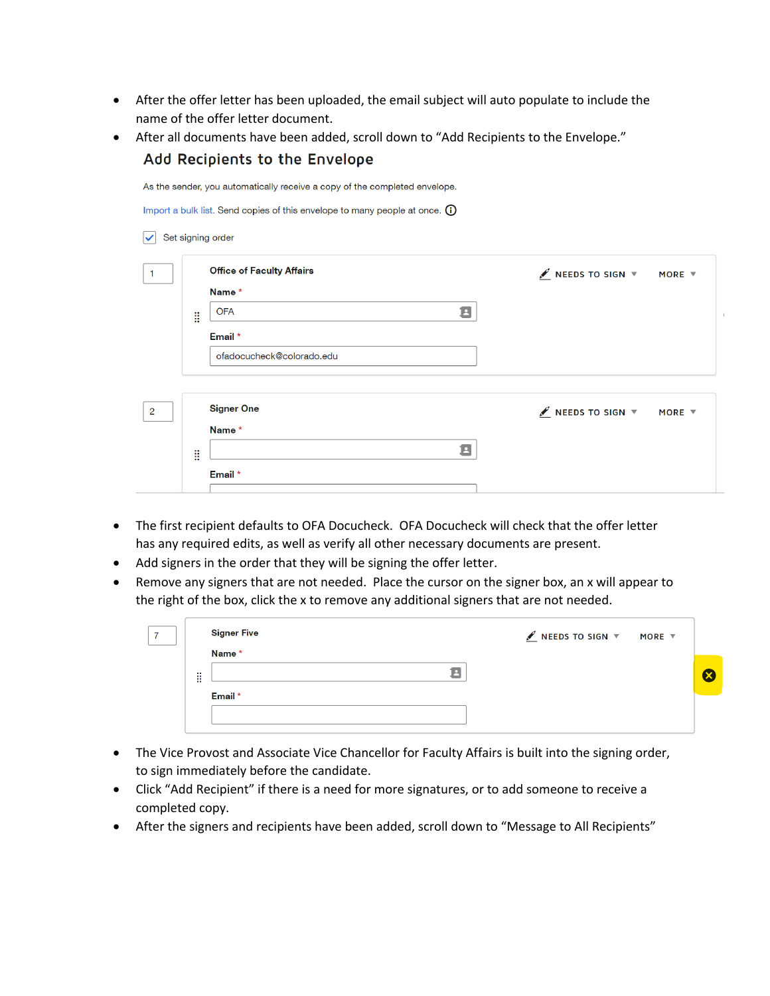- After the offer letter has been uploaded, the email subject will auto populate to include the name of the offer letter document.
- After all documents have been added, scroll down to "Add Recipients to the Envelope."

|                | Add Recipients to the Envelope                                             |                                                                                   |                                       |                     |  |  |  |
|----------------|----------------------------------------------------------------------------|-----------------------------------------------------------------------------------|---------------------------------------|---------------------|--|--|--|
|                | As the sender, you automatically receive a copy of the completed envelope. |                                                                                   |                                       |                     |  |  |  |
|                |                                                                            | Import a bulk list. Send copies of this envelope to many people at once. $\omega$ |                                       |                     |  |  |  |
|                |                                                                            | Set signing order                                                                 |                                       |                     |  |  |  |
| $\mathbf 1$    |                                                                            | <b>Office of Faculty Affairs</b>                                                  | $\mathscr I$ NEEDS TO SIGN $\bar \nu$ | MORE $\overline{v}$ |  |  |  |
|                |                                                                            | Name*                                                                             |                                       |                     |  |  |  |
|                | ã                                                                          | 8<br><b>OFA</b>                                                                   |                                       |                     |  |  |  |
|                |                                                                            | Email *                                                                           |                                       |                     |  |  |  |
|                |                                                                            | ofadocucheck@colorado.edu                                                         |                                       |                     |  |  |  |
|                |                                                                            |                                                                                   |                                       |                     |  |  |  |
| $\overline{2}$ |                                                                            | <b>Signer One</b>                                                                 | $\mathscr{I}$ NEEDS TO SIGN $\forall$ | MORE $\overline{v}$ |  |  |  |
|                |                                                                            | Name*                                                                             |                                       |                     |  |  |  |
|                | B                                                                          | 3                                                                                 |                                       |                     |  |  |  |
|                |                                                                            | Email *                                                                           |                                       |                     |  |  |  |
|                |                                                                            |                                                                                   |                                       |                     |  |  |  |

- The first recipient defaults to OFA Docucheck. OFA Docucheck will check that the offer letter has any required edits, as well as verify all other necessary documents are present.
- Add signers in the order that they will be signing the offer letter.
- Remove any signers that are not needed. Place the cursor on the signer box, an x will appear to the right of the box, click the x to remove any additional signers that are not needed.

|                    | <b>Signer Five</b><br>Name * | $\angle$ NEEDS TO SIGN $\overline{v}$ MORE $\overline{v}$ |    |
|--------------------|------------------------------|-----------------------------------------------------------|----|
| $\sim$<br><br><br> |                              |                                                           | (x |
|                    | Email *                      |                                                           |    |

- The Vice Provost and Associate Vice Chancellor for Faculty Affairs is built into the signing order, to sign immediately before the candidate.
- Click "Add Recipient" if there is a need for more signatures, or to add someone to receive a completed copy.
- After the signers and recipients have been added, scroll down to "Message to All Recipients"